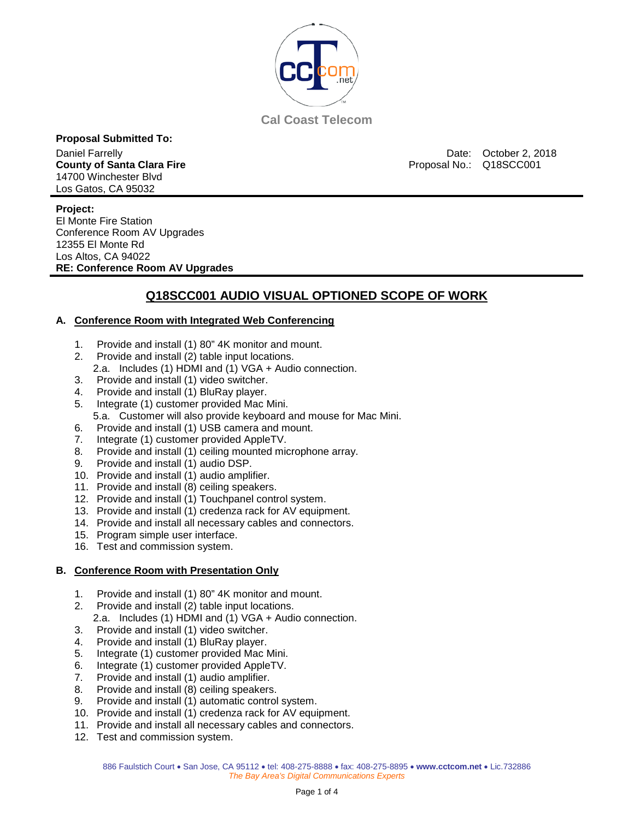

**Cal Coast Telecom**

**Proposal Submitted To:** 14700 Winchester Blvd Los Gatos, CA 95032

Daniel Farrelly Date: October 2, 2018<br> **County of Santa Clara Fire** County of Santa Clara Fire County of Santa Clara Fire County of Santa Clara Fire Co Proposal No.: Q18SCC001

**Project:** El Monte Fire Station Conference Room AV Upgrades 12355 El Monte Rd Los Altos, CA 94022 **RE: Conference Room AV Upgrades** 

### **Q18SCC001 AUDIO VISUAL OPTIONED SCOPE OF WORK**

#### **A. Conference Room with Integrated Web Conferencing**

- 1. Provide and install (1) 80" 4K monitor and mount.
- 2. Provide and install (2) table input locations.
- 2.a. Includes (1) HDMI and (1) VGA + Audio connection.
- 3. Provide and install (1) video switcher.
- 4. Provide and install (1) BluRay player.
- 5. Integrate (1) customer provided Mac Mini.
	- 5.a. Customer will also provide keyboard and mouse for Mac Mini.
- 6. Provide and install (1) USB camera and mount.
- 7. Integrate (1) customer provided AppleTV.
- 8. Provide and install (1) ceiling mounted microphone array.
- 9. Provide and install (1) audio DSP.
- 10. Provide and install (1) audio amplifier.
- 11. Provide and install (8) ceiling speakers.
- 12. Provide and install (1) Touchpanel control system.
- 13. Provide and install (1) credenza rack for AV equipment.
- 14. Provide and install all necessary cables and connectors.
- 15. Program simple user interface.
- 16. Test and commission system.

#### **B. Conference Room with Presentation Only**

- 1. Provide and install (1) 80" 4K monitor and mount.
- 2. Provide and install (2) table input locations.
	- 2.a. Includes (1) HDMI and (1) VGA + Audio connection.
- 3. Provide and install (1) video switcher.
- 4. Provide and install (1) BluRay player.
- 5. Integrate (1) customer provided Mac Mini.
- 6. Integrate (1) customer provided AppleTV.
- 7. Provide and install (1) audio amplifier.
- 8. Provide and install (8) ceiling speakers.
- 9. Provide and install (1) automatic control system.
- 10. Provide and install (1) credenza rack for AV equipment.
- 11. Provide and install all necessary cables and connectors.
- 12. Test and commission system.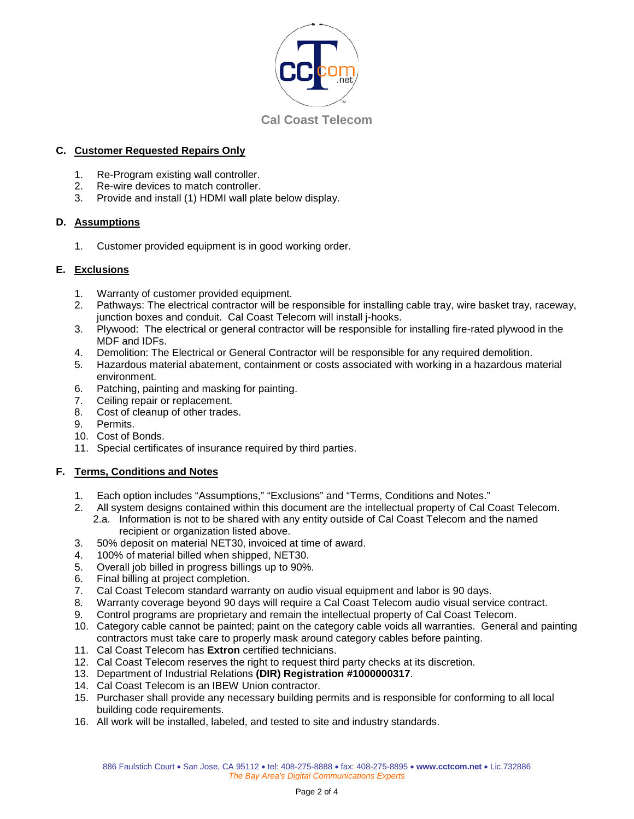

#### **C. Customer Requested Repairs Only**

- 1. Re-Program existing wall controller.<br>2. Re-wire devices to match controller.
- 2. Re-wire devices to match controller.<br>3. Provide and install (1) HDMI wall pla
- Provide and install (1) HDMI wall plate below display.

#### **D. Assumptions**

1. Customer provided equipment is in good working order.

#### **E. Exclusions**

- 1. Warranty of customer provided equipment.<br>2. Pathways: The electrical contractor will be r
- Pathways: The electrical contractor will be responsible for installing cable tray, wire basket tray, raceway, junction boxes and conduit. Cal Coast Telecom will install j-hooks.
- 3. Plywood: The electrical or general contractor will be responsible for installing fire-rated plywood in the MDF and IDFs.
- 4. Demolition: The Electrical or General Contractor will be responsible for any required demolition.
- 5. Hazardous material abatement, containment or costs associated with working in a hazardous material environment.
- 6. Patching, painting and masking for painting.
- 7. Ceiling repair or replacement.
- 8. Cost of cleanup of other trades.
- 9. Permits.
- 10. Cost of Bonds.
- 11. Special certificates of insurance required by third parties.

#### **F. Terms, Conditions and Notes**

- 1. Each option includes "Assumptions," "Exclusions" and "Terms, Conditions and Notes."
- 2. All system designs contained within this document are the intellectual property of Cal Coast Telecom. 2.a. Information is not to be shared with any entity outside of Cal Coast Telecom and the named
	- recipient or organization listed above.
- 3. 50% deposit on material NET30, invoiced at time of award.
- 4. 100% of material billed when shipped, NET30.
- 5. Overall job billed in progress billings up to 90%.
- 6. Final billing at project completion.<br>7. Cal Coast Telecom standard warr
- 7. Cal Coast Telecom standard warranty on audio visual equipment and labor is 90 days.
- 8. Warranty coverage beyond 90 days will require a Cal Coast Telecom audio visual service contract.
- 9. Control programs are proprietary and remain the intellectual property of Cal Coast Telecom.
- 10. Category cable cannot be painted; paint on the category cable voids all warranties. General and painting contractors must take care to properly mask around category cables before painting.
- 11. Cal Coast Telecom has **Extron** certified technicians.
- 12. Cal Coast Telecom reserves the right to request third party checks at its discretion.
- 13. Department of Industrial Relations **(DIR) Registration #1000000317**.
- 14. Cal Coast Telecom is an IBEW Union contractor.
- 15. Purchaser shall provide any necessary building permits and is responsible for conforming to all local building code requirements.
- 16. All work will be installed, labeled, and tested to site and industry standards.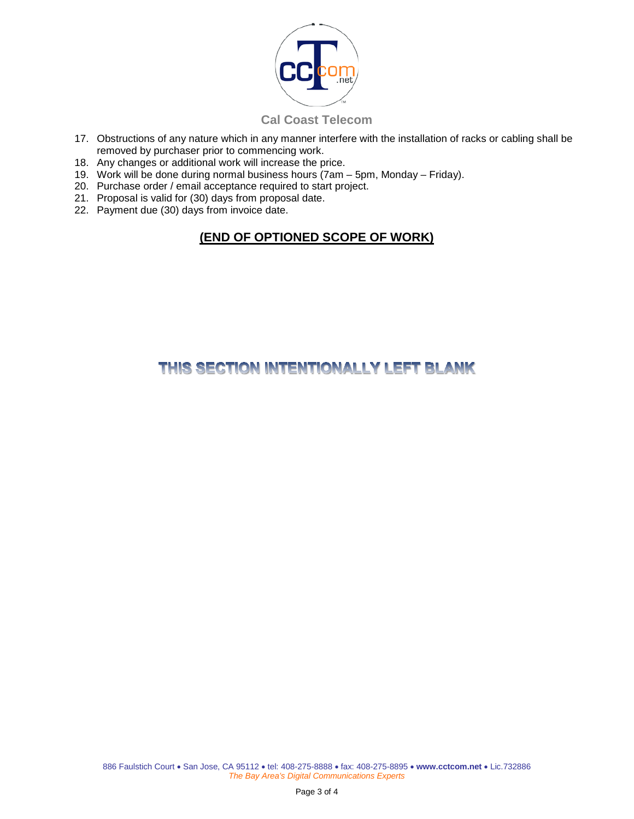

### **Cal Coast Telecom**

- 17. Obstructions of any nature which in any manner interfere with the installation of racks or cabling shall be removed by purchaser prior to commencing work.
- 18. Any changes or additional work will increase the price.
- 19. Work will be done during normal business hours (7am 5pm, Monday Friday).
- 20. Purchase order / email acceptance required to start project.
- 21. Proposal is valid for (30) days from proposal date.
- 22. Payment due (30) days from invoice date.

# **(END OF OPTIONED SCOPE OF WORK)**

# THIS SECTION INTENTIONALLY LEFT BLANK